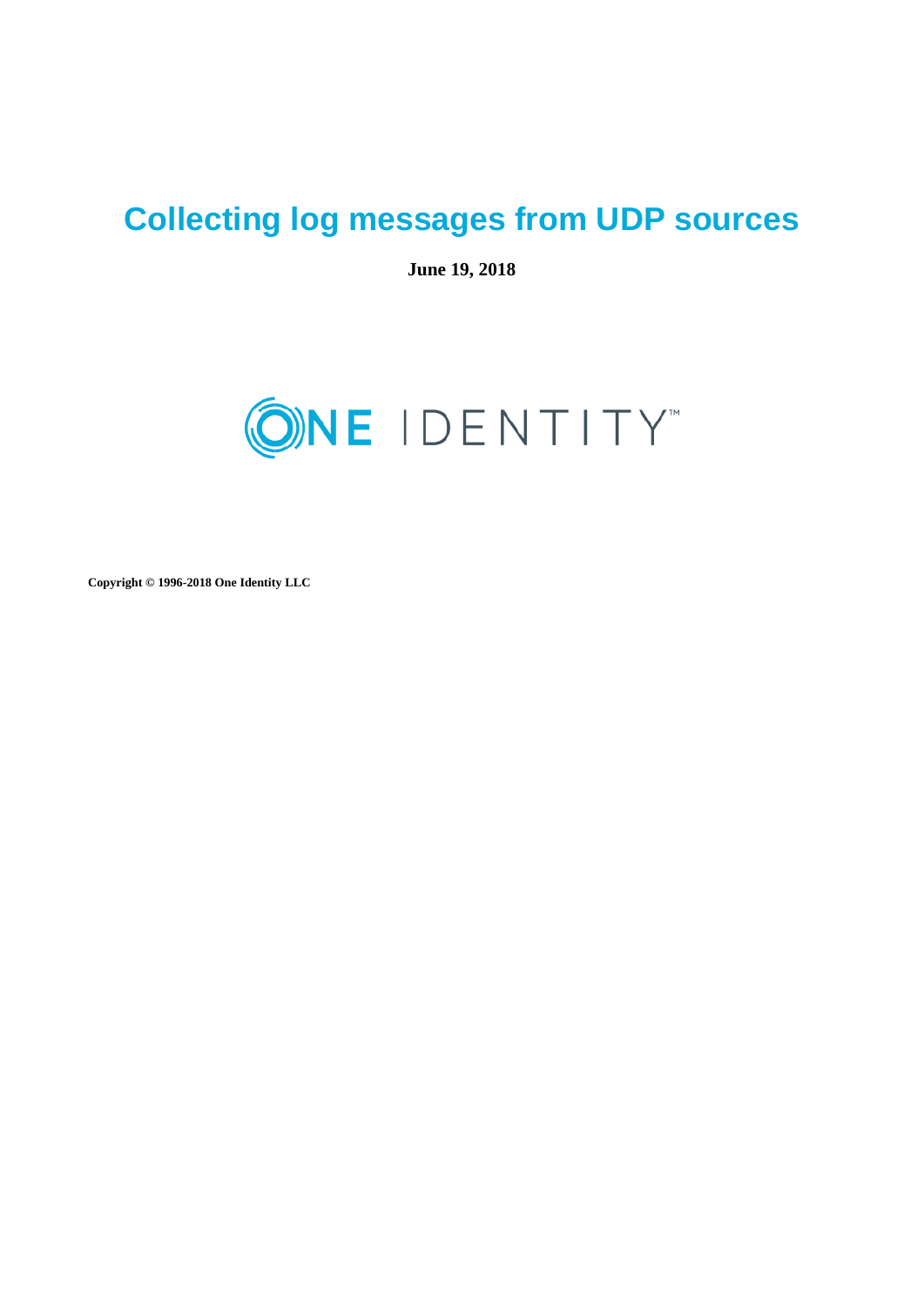# **Collecting log messages from UDP sources**

**June 19, 2018**



**Copyright © 1996-2018 One Identity LLC**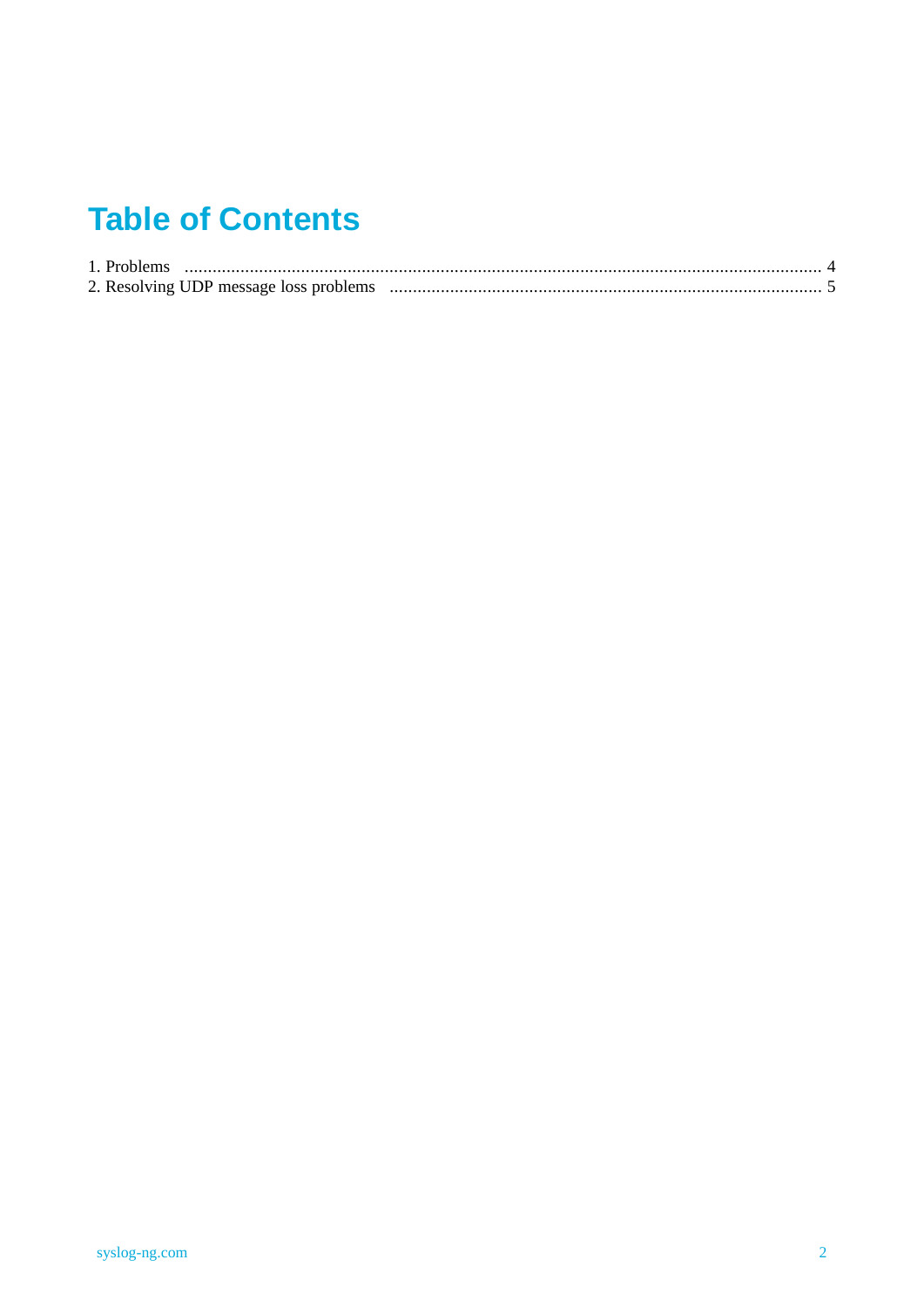# **Table of Contents**

| 1. Problems |                                        |  |
|-------------|----------------------------------------|--|
|             | 2. Resolving UDP message loss problems |  |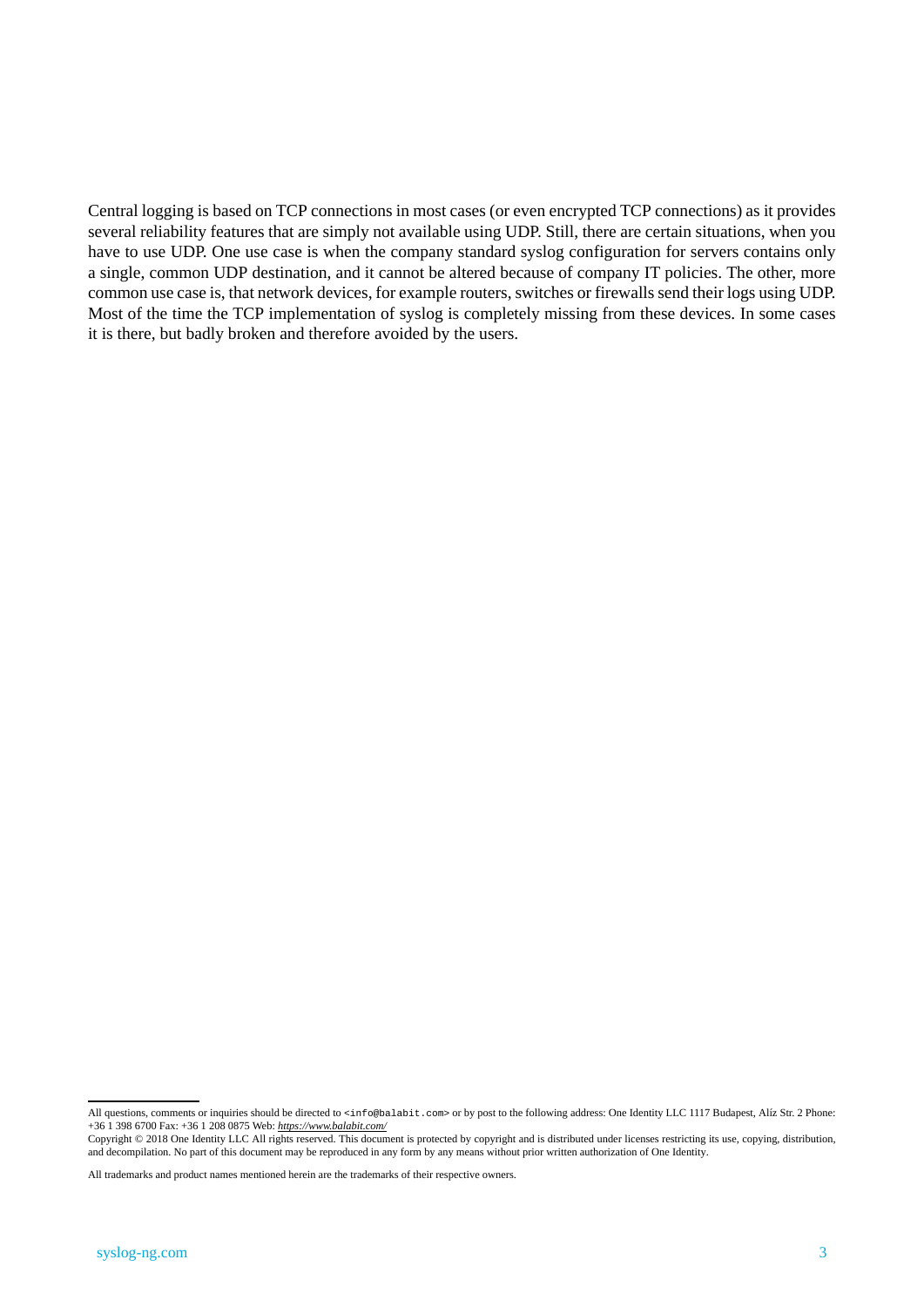Central logging is based on TCP connections in most cases (or even encrypted TCP connections) as it provides several reliability features that are simply not available using UDP. Still, there are certain situations, when you have to use UDP. One use case is when the company standard syslog configuration for servers contains only a single, common UDP destination, and it cannot be altered because of company IT policies. The other, more common use case is, that network devices, for example routers, switches or firewalls send their logs using UDP. Most of the time the TCP implementation of syslog is completely missing from these devices. In some cases it is there, but badly broken and therefore avoided by the users.

All questions, comments or inquiries should be directed to <info@balabit . com> or by post to the following address: One Identity LLC 1117 Budapest, Alíz Str. 2 Phone: +36 1 398 6700 Fax: +36 1 208 0875 Web: *<https://www.balabit.com/>*

Copyright © 2018 One Identity LLC All rights reserved. This document is protected by copyright and is distributed under licenses restricting its use, copying, distribution, and decompilation. No part of this document may be reproduced in any form by any means without prior written authorization of One Identity.

All trademarks and product names mentioned herein are the trademarks of their respective owners.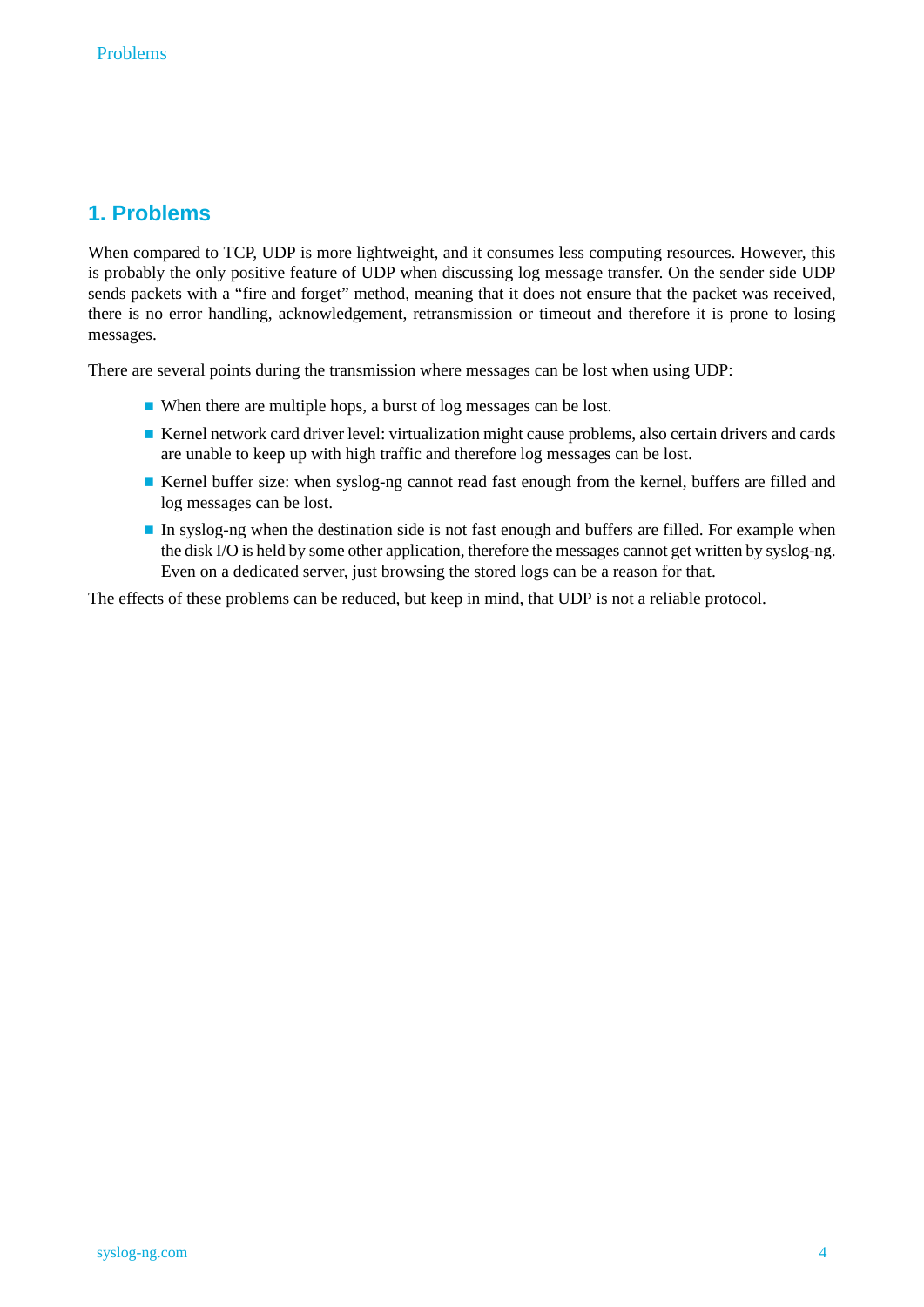## <span id="page-3-0"></span>**1. Problems**

When compared to TCP, UDP is more lightweight, and it consumes less computing resources. However, this is probably the only positive feature of UDP when discussing log message transfer. On the sender side UDP sends packets with a "fire and forget" method, meaning that it does not ensure that the packet was received, there is no error handling, acknowledgement, retransmission or timeout and therefore it is prone to losing messages.

There are several points during the transmission where messages can be lost when using UDP:

- When there are multiple hops, a burst of log messages can be lost.
- Kernel network card driver level: virtualization might cause problems, also certain drivers and cards are unable to keep up with high traffic and therefore log messages can be lost.
- Kernel buffer size: when syslog-ng cannot read fast enough from the kernel, buffers are filled and log messages can be lost.
- In syslog-ng when the destination side is not fast enough and buffers are filled. For example when the disk I/O is held by some other application, therefore the messages cannot get written by syslog-ng. Even on a dedicated server, just browsing the stored logs can be a reason for that.

The effects of these problems can be reduced, but keep in mind, that UDP is not a reliable protocol.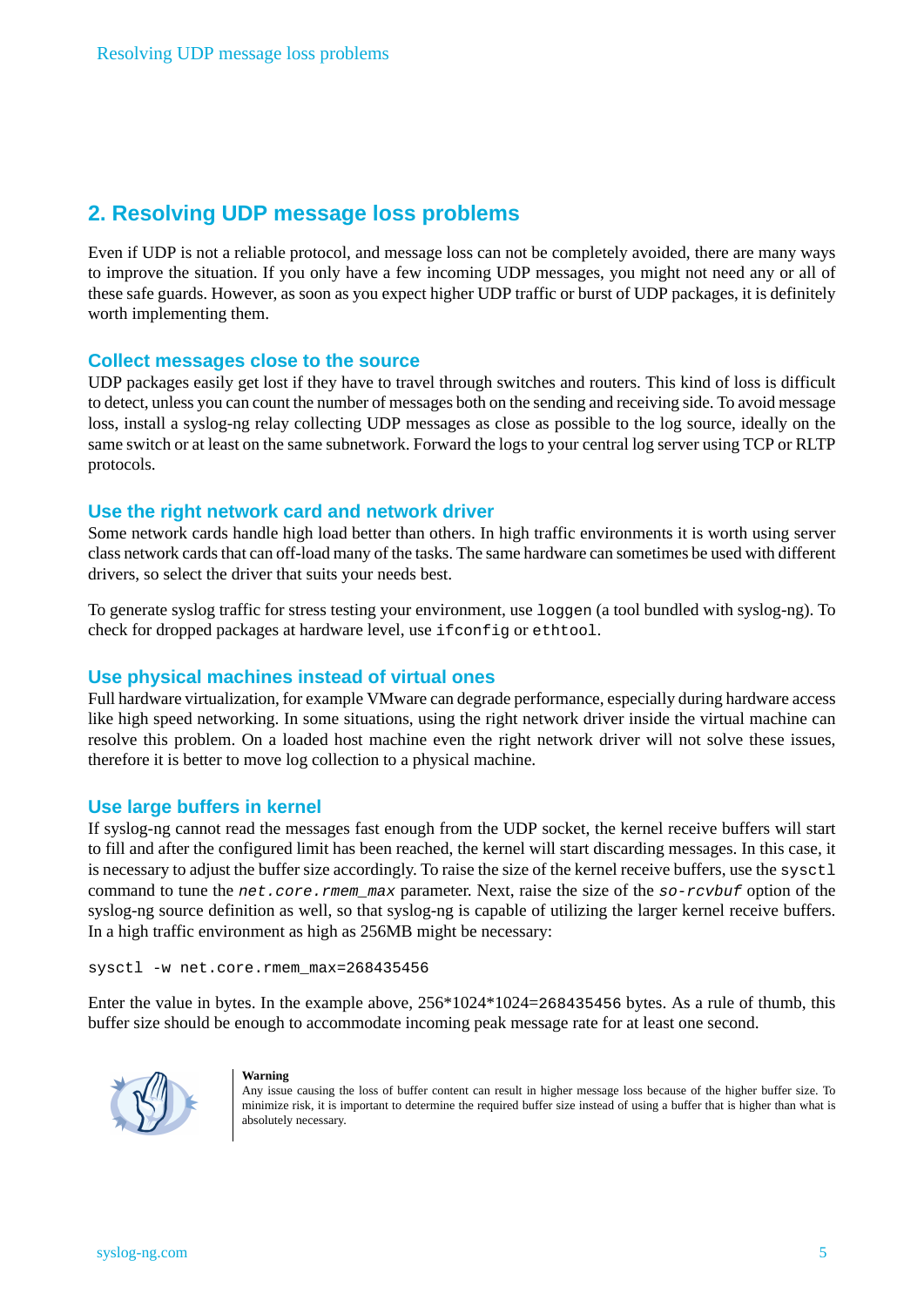### <span id="page-4-0"></span>**2. Resolving UDP message loss problems**

Even if UDP is not a reliable protocol, and message loss can not be completely avoided, there are many ways to improve the situation. If you only have a few incoming UDP messages, you might not need any or all of these safe guards. However, as soon as you expect higher UDP traffic or burst of UDP packages, it is definitely worth implementing them.

#### **Collect messages close to the source**

UDP packages easily get lost if they have to travel through switches and routers. This kind of loss is difficult to detect, unless you can count the number of messages both on the sending and receiving side. To avoid message loss, install a syslog-ng relay collecting UDP messages as close as possible to the log source, ideally on the same switch or at least on the same subnetwork. Forward the logs to your central log server using TCP or RLTP protocols.

#### **Use the right network card and network driver**

Some network cards handle high load better than others. In high traffic environments it is worth using server class network cardsthat can off-load many of the tasks. The same hardware can sometimes be used with different drivers, so select the driver that suits your needs best.

To generate syslog traffic for stress testing your environment, use loggen (a tool bundled with syslog-ng). To check for dropped packages at hardware level, use ifconfig or ethtool.

### **Use physical machines instead of virtual ones**

Full hardware virtualization, for example VMware can degrade performance, especially during hardware access like high speed networking. In some situations, using the right network driver inside the virtual machine can resolve this problem. On a loaded host machine even the right network driver will not solve these issues, therefore it is better to move log collection to a physical machine.

#### **Use large buffers in kernel**

If syslog-ng cannot read the messages fast enough from the UDP socket, the kernel receive buffers will start to fill and after the configured limit has been reached, the kernel will start discarding messages. In this case, it is necessary to adjust the buffer size accordingly. To raise the size of the kernel receive buffers, use the sysctl command to tune the *net.core.rmem\_max* parameter. Next, raise the size of the *so-rcvbuf* option of the syslog-ng source definition as well, so that syslog-ng is capable of utilizing the larger kernel receive buffers. In a high traffic environment as high as 256MB might be necessary:

#### sysctl -w net.core.rmem\_max=268435456

Enter the value in bytes. In the example above, 256\*1024\*1024=268435456 bytes. As a rule of thumb, this buffer size should be enough to accommodate incoming peak message rate for at least one second.



#### **Warning**

Any issue causing the loss of buffer content can result in higher message loss because of the higher buffer size. To minimize risk, it is important to determine the required buffer size instead of using a buffer that is higher than what is absolutely necessary.